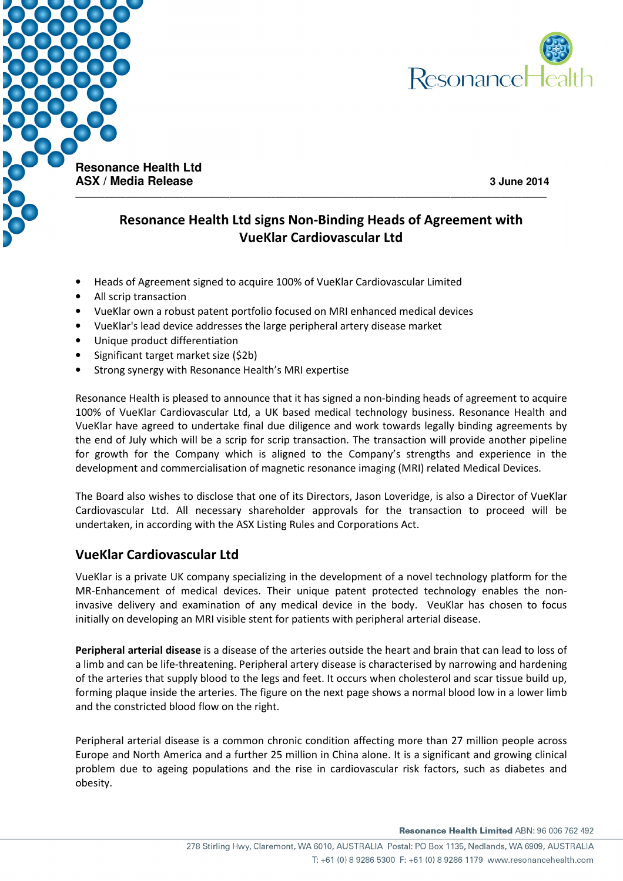



**Resonance Health Ltd ASX / Media Release 3 June 2014** 

## Resonance Health Ltd signs Non-Binding Heads of Agreement with VueKlar Cardiovascular Ltd

- Heads of Agreement signed to acquire 100% of VueKlar Cardiovascular Limited
- All scrip transaction
- VueKlar own a robust patent portfolio focused on MRI enhanced medical devices
- VueKlar's lead device addresses the large peripheral artery disease market
- Unique product differentiation
- Significant target market size (\$2b)
- Strong synergy with Resonance Health's MRI expertise

Resonance Health is pleased to announce that it has signed a non-binding heads of agreement to acquire 100% of VueKlar Cardiovascular Ltd, a UK based medical technology business. Resonance Health and VueKlar have agreed to undertake final due diligence and work towards legally binding agreements by the end of July which will be a scrip for scrip transaction. The transaction will provide another pipeline for growth for the Company which is aligned to the Company's strengths and experience in the development and commercialisation of magnetic resonance imaging (MRI) related Medical Devices.

The Board also wishes to disclose that one of its Directors, Jason Loveridge, is also a Director of VueKlar Cardiovascular Ltd. All necessary shareholder approvals for the transaction to proceed will be undertaken, in according with the ASX Listing Rules and Corporations Act.

## VueKlar Cardiovascular Ltd

VueKlar is a private UK company specializing in the development of a novel technology platform for the MR-Enhancement of medical devices. Their unique patent protected technology enables the noninvasive delivery and examination of any medical device in the body. VeuKlar has chosen to focus initially on developing an MRI visible stent for patients with peripheral arterial disease.

Peripheral arterial disease is a disease of the arteries outside the heart and brain that can lead to loss of a limb and can be life-threatening. Peripheral artery disease is characterised by narrowing and hardening of the arteries that supply blood to the legs and feet. It occurs when cholesterol and scar tissue build up, forming plaque inside the arteries. The figure on the next page shows a normal blood low in a lower limb and the constricted blood flow on the right.

Peripheral arterial disease is a common chronic condition affecting more than 27 million people across Europe and North America and a further 25 million in China alone. It is a significant and growing clinical problem due to ageing populations and the rise in cardiovascular risk factors, such as diabetes and obesity.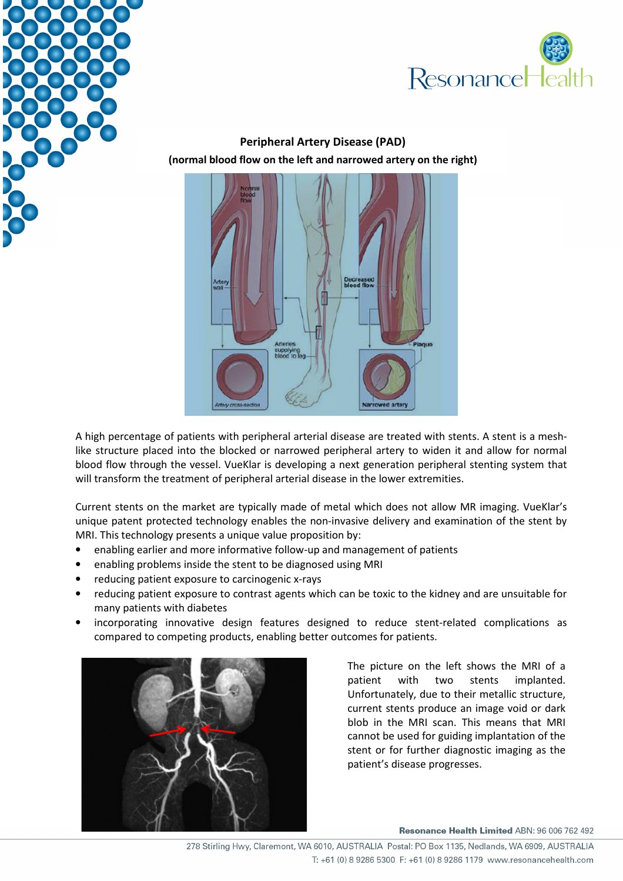



Peripheral Artery Disease (PAD) (normal blood flow on the left and narrowed artery on the right)



A high percentage of patients with peripheral arterial disease are treated with stents. A stent is a meshlike structure placed into the blocked or narrowed peripheral artery to widen it and allow for normal blood flow through the vessel. VueKlar is developing a next generation peripheral stenting system that will transform the treatment of peripheral arterial disease in the lower extremities.

Current stents on the market are typically made of metal which does not allow MR imaging. VueKlar's unique patent protected technology enables the non-invasive delivery and examination of the stent by MRI. This technology presents a unique value proposition by:

- enabling earlier and more informative follow-up and management of patients
- enabling problems inside the stent to be diagnosed using MRI
- reducing patient exposure to carcinogenic x-rays
- reducing patient exposure to contrast agents which can be toxic to the kidney and are unsuitable for many patients with diabetes
- incorporating innovative design features designed to reduce stent-related complications as compared to competing products, enabling better outcomes for patients.



The picture on the left shows the MRI of a patient with two stents implanted. Unfortunately, due to their metallic structure, current stents produce an image void or dark blob in the MRI scan. This means that MRI cannot be used for guiding implantation of the stent or for further diagnostic imaging as the patient's disease progresses.

Resonance Health Limited ABN: 96 006 762 492

278 Stirling Hwy, Claremont, WA 6010, AUSTRALIA Postal; PO Box 1135, Nedlands, WA 6909, AUSTRALIA T: +61 (0) 8 9286 5300 F: +61 (0) 8 9286 1179 www.resonancehealth.com